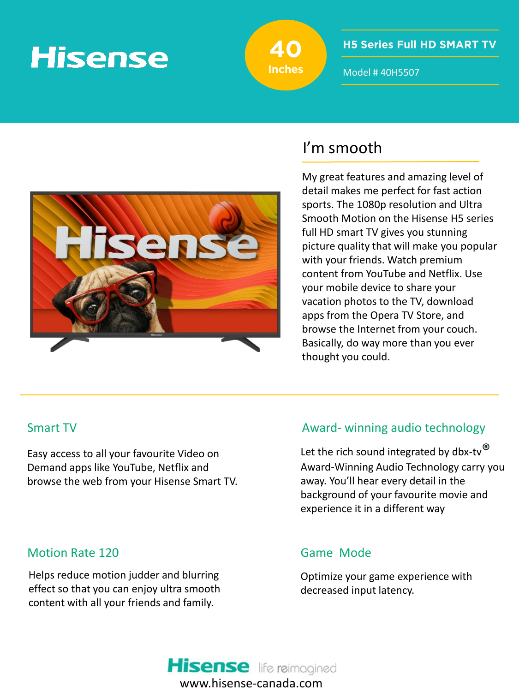# **Hisense**



**H5 Series Full HD SMART TV** 

Model # 40H5507



# I'm smooth

My great features and amazing level of detail makes me perfect for fast action sports. The 1080p resolution and Ultra Smooth Motion on the Hisense H5 series full HD smart TV gives you stunning picture quality that will make you popular with your friends. Watch premium content from YouTube and Netflix. Use your mobile device to share your vacation photos to the TV, download apps from the Opera TV Store, and browse the Internet from your couch. Basically, do way more than you ever thought you could.

Easy access to all your favourite Video on Demand apps like YouTube, Netflix and browse the web from your Hisense Smart TV.

### Motion Rate 120

Helps reduce motion judder and blurring effect so that you can enjoy ultra smooth content with all your friends and family.

## Smart TV and the Community Community Award- winning audio technology

Let the rich sound integrated by dbx-tv $^{\circledR}$ Award-Winning Audio Technology carry you away. You'll hear every detail in the background of your favourite movie and experience it in a different way

### Game Mode

Optimize your game experience with decreased input latency.